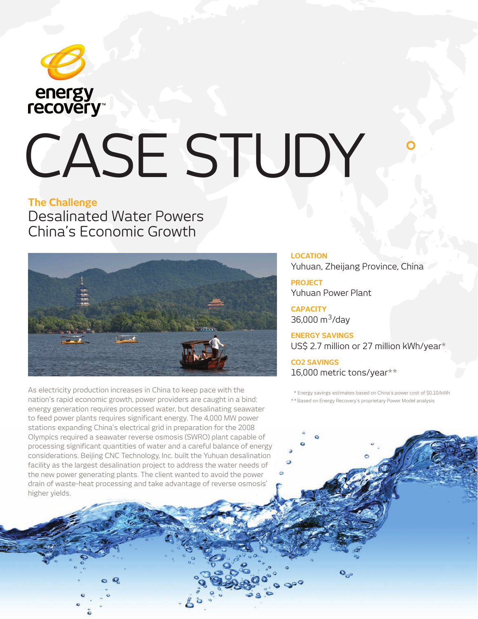

# CASE STUDY

## **The Challenge** Desalinated Water Powers China's Economic Growth



As electricity production increases in China to keep pace with the nation's rapid economic growth, power providers are caught in a bind: energy generation requires processed water, but desalinating seawater to feed power plants requires significant energy. The 4,000 MW power stations expanding China's electrical grid in preparation for the 2008 Olympics required a seawater reverse osmosis (SWRO) plant capable of processing significant quantities of water and a careful balance of energy considerations. Beijing CNC Technology, Inc. built the Yuhuan desalination facility as the largest desalination project to address the water needs of the new power generating plants. The client wanted to avoid the power drain of waste-heat processing and take advantage of reverse osmosis' higher yields.

### **LOCATION**

Yuhuan, Zheijang Province, China

**PROJECT** Yuhuan Power Plant

**CAPACITY** 36,000 m<sup>3</sup>/day

**ENERGY SAVINGS**  US\$ 2.7 million or 27 million kWh/year\*

**CO2 SAVINGS**  16,000 metric tons/year\*\*

\* Energy savings estimates based on China's power cost of \$0.10/kWh

\* \* Based on Energy Recovery's proprietary Power Model analysis